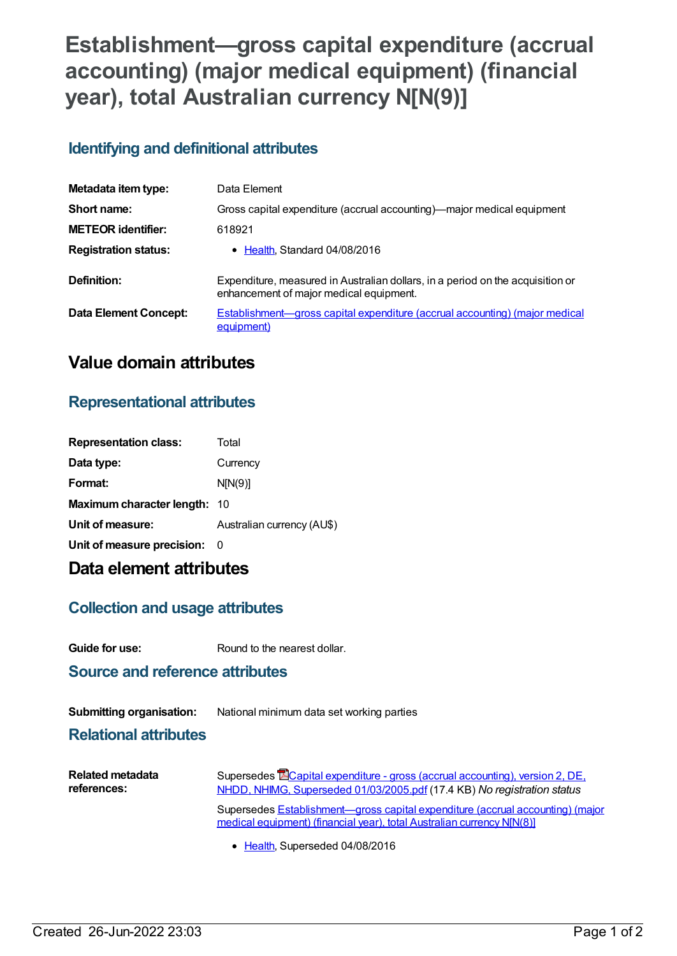# **Establishment—gross capital expenditure (accrual accounting) (major medical equipment) (financial year), total Australian currency N[N(9)]**

### **Identifying and definitional attributes**

| Metadata item type:          | Data Element                                                                                                              |
|------------------------------|---------------------------------------------------------------------------------------------------------------------------|
| Short name:                  | Gross capital expenditure (accrual accounting)—major medical equipment                                                    |
| <b>METEOR identifier:</b>    | 618921                                                                                                                    |
| <b>Registration status:</b>  | • Health, Standard 04/08/2016                                                                                             |
| Definition:                  | Expenditure, measured in Australian dollars, in a period on the acquisition or<br>enhancement of major medical equipment. |
| <b>Data Element Concept:</b> | <b>Establishment—gross capital expenditure (accrual accounting) (major medical</b><br>equipment)                          |

## **Value domain attributes**

#### **Representational attributes**

| <b>Representation class:</b> | Total                      |
|------------------------------|----------------------------|
| Data type:                   | Currency                   |
| Format:                      | N[N(9)]                    |
| Maximum character length: 10 |                            |
| Unit of measure:             | Australian currency (AU\$) |
| Unit of measure precision:   | - 0                        |
|                              |                            |

# **Data element attributes**

#### **Collection and usage attributes**

**Guide for use:** Round to the nearest dollar.

**Source and reference attributes**

**Submitting organisation:** National minimum data set working parties

**Relational attributes**

| <b>Related metadata</b> | Supersedes <b>ECapital expenditure - gross (accrual accounting)</b> , version 2, DE,                                                                     |
|-------------------------|----------------------------------------------------------------------------------------------------------------------------------------------------------|
| references:             | NHDD, NHIMG, Superseded 01/03/2005.pdf (17.4 KB) No registration status                                                                                  |
|                         | Supersedes Establishment—gross capital expenditure (accrual accounting) (major<br>medical equipment) (financial year), total Australian currency N[N(8)] |

• [Health](https://meteor.aihw.gov.au/RegistrationAuthority/12), Superseded 04/08/2016